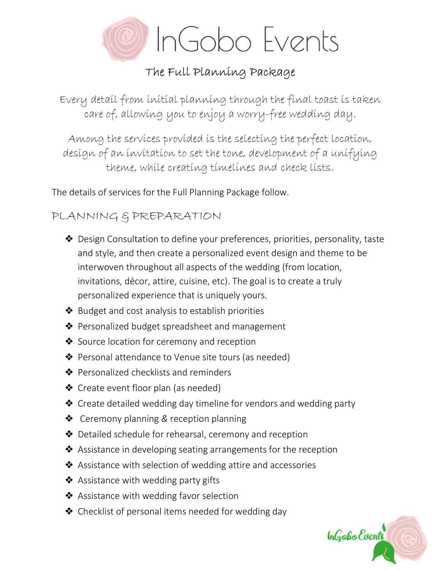

# The Full Planning Package

Every detail from initial planning through the final toast is taken care of, allowing you to enjoy a worry-free wedding day.

Among the services provided is the selecting the perfect location, design of an invitation to set the tone, development of a unifying theme, while creating timelines and check lists.

The details of services for the Full Planning Package follow.

## PLANNING & PREPARATION

- ❖ Design Consultation to define your preferences, priorities, personality, taste and style, and then create a personalized event design and theme to be interwoven throughout all aspects of the wedding (from location, invitations, décor, attire, cuisine, etc). The goal is to create a truly personalized experience that is uniquely yours.
- ❖ Budget and cost analysis to establish priorities
- ❖ Personalized budget spreadsheet and management
- ❖ Source location for ceremony and reception
- ❖ Personal attendance to Venue site tours (as needed)
- ❖ Personalized checklists and reminders
- ❖ Create event floor plan (as needed)
- ❖ Create detailed wedding day timeline for vendors and wedding party
- ❖ Ceremony planning & reception planning
- ❖ Detailed schedule for rehearsal, ceremony and reception
- ❖ Assistance in developing seating arrangements for the reception
- ❖ Assistance with selection of wedding attire and accessories
- ❖ Assistance with wedding party gifts
- **❖** Assistance with wedding favor selection
- $\triangle$  Checklist of personal items needed for wedding day

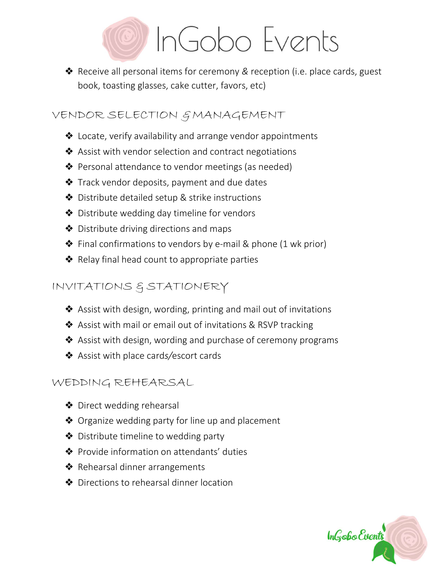

❖ Receive all personal items for ceremony & reception (i.e. place cards, guest book, toasting glasses, cake cutter, favors, etc)

#### VENDOR SELECTION GMANAGEMENT

- ❖ Locate, verify availability and arrange vendor appointments
- ❖ Assist with vendor selection and contract negotiations
- ❖ Personal attendance to vendor meetings (as needed)
- ❖ Track vendor deposits, payment and due dates
- ❖ Distribute detailed setup & strike instructions
- ❖ Distribute wedding day timeline for vendors
- ❖ Distribute driving directions and maps
- $\triangle$  Final confirmations to vendors by e-mail & phone (1 wk prior)
- ❖ Relay final head count to appropriate parties

## INVITATIONS & STATIONERY

- ❖ Assist with design, wording, printing and mail out of invitations
- ❖ Assist with mail or email out of invitations & RSVP tracking
- ❖ Assist with design, wording and purchase of ceremony programs
- ❖ Assist with place cards/escort cards

### WEDDING REHEARSAL

- ❖ Direct wedding rehearsal
- ❖ Organize wedding party for line up and placement
- ❖ Distribute timeline to wedding party
- ❖ Provide information on attendants' duties
- ❖ Rehearsal dinner arrangements
- ❖ Directions to rehearsal dinner location